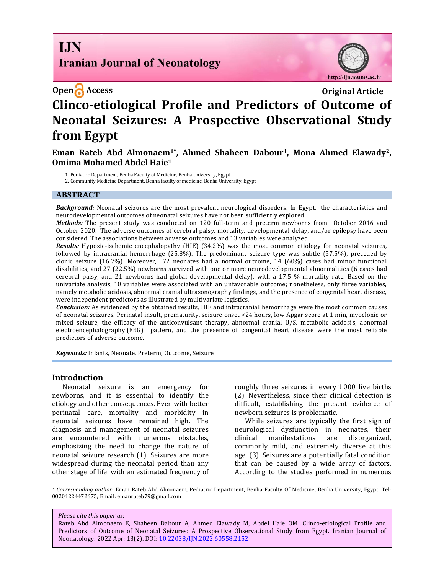# **I.IN Iranian Journal of Neonatology**

**Open Access Original Article** 

http://ijn.mums.ac.ir

# **Clinco-etiological Profile and Predictors of Outcome of Neonatal Seizures: A Prospective Observational Study from Egypt**

Eman Rateb Abd Almonaem<sup>1\*</sup>, Ahmed Shaheen Dabour<sup>1</sup>, Mona Ahmed Elawady<sup>2</sup>, **Omima Mohamed Abdel Haie<sup>1</sup>**

1. Pediatric Department, Benha Faculty of Medicine, Benha University, Egypt

2. Community Medicine Department, Benha faculty of medicine, Benha University, Egypt

#### **ABSTRACT**

*Background:* Neonatal seizures are the most prevalent neurological disorders. In Egypt, the characteristics and neurodevelopmental outcomes of neonatal seizures have not been sufficiently explored.

*Methods:* The present study was conducted on 120 full-term and preterm newborns from October 2016 and October 2020. The adverse outcomes of cerebral palsy, mortality, developmental delay, and/or epilepsy have been considered. The associations between adverse outcomes and 13 variables were analyzed.

*Results:* Hypoxic-ischemic encephalopathy (HIE) (34.2%) was the most common etiology for neonatal seizures, followed by intracranial hemorrhage (25.8%). The predominant seizure type was subtle (57.5%), preceded by clonic seizure (16.7%). Moreover, 72 neonates had a normal outcome, 14 (60%) cases had minor functional disabilities, and 27 (22.5%) newborns survived with one or more neurodevelopmental abnormalities (6 cases had cerebral palsy, and 21 newborns had global developmental delay), with a 17.5 % mortality rate. Based on the univariate analysis, 10 variables were associated with an unfavorable outcome; nonetheless, only three variables, namely metabolic acidosis, abnormal cranial ultrasonography findings, and the presence of congenital heart disease, were independent predictors as illustrated by multivariate logistics.

*Conclusion:* As evidenced by the obtained results, HIE and intracranial hemorrhage were the most common causes of neonatal seizures. Perinatal insult, prematurity, seizure onset <24 hours, low Apgar score at 1 min, myoclonic or mixed seizure, the efficacy of the anticonvulsant therapy, abnormal cranial U/S, metabolic acidosis, abnormal electroencephalography (EEG) pattern, and the presence of congenital heart disease were the most reliable predictors of adverse outcome.

*Keywords:* Infants, Neonate, Preterm, Outcome, Seizure

#### **Introduction**

Neonatal seizure is an emergency for newborns, and it is essential to identify the etiology and other consequences. Even with better perinatal care, mortality and morbidity in neonatal seizures have remained high. The diagnosis and management of neonatal seizures are encountered with numerous obstacles, emphasizing the need to change the nature of neonatal seizure research (1). Seizures are more widespread during the neonatal period than any other stage of life, with an estimated frequency of

roughly three seizures in every 1,000 live births (2). Nevertheless, since their clinical detection is difficult, establishing the present evidence of newborn seizures is problematic.

While seizures are typically the first sign of neurological dysfunction in neonates, their clinical manifestations are disorganized, commonly mild, and extremely diverse at this age (3). Seizures are a potentially fatal condition that can be caused by a wide array of factors. According to the studies performed in numerous

*\* Corresponding author*: Eman Rateb Abd Almonaem, Pediatric Department, Benha Faculty Of Medicine, Benha University, Egypt. Tel: 00201224472675; Email[: emanrateb79@gmail.com](mailto:emanrateb79@gmail.com)

*Please cite this paper as:*

Rateb Abd Almonaem E, Shaheen Dabour A, Ahmed Elawady M, Abdel Haie OM. Clinco-etiological Profile and Predictors of Outcome of Neonatal Seizures: A Prospective Observational Study from Egypt. Iranian Journal of Neonatology. 2022 Apr: 13(2). DOI: 10.22038/IJN.2022.60558.2152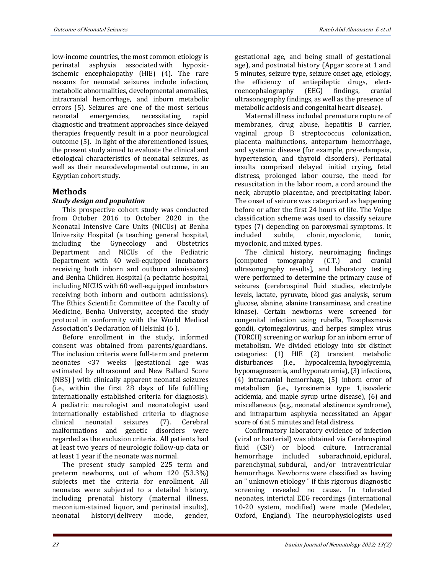low-income countries, the most common etiology is perinatal asphyxia associated with hypoxicischemic encephalopathy (HIE) (4). The rare reasons for neonatal seizures include infection, metabolic abnormalities, developmental anomalies, intracranial hemorrhage, and inborn metabolic errors (5). Seizures are one of the most serious neonatal emergencies, necessitating rapid diagnostic and treatment approaches since delayed therapies frequently result in a poor neurological outcome (5). In light of the aforementioned issues, the present study aimed to evaluate the clinical and etiological characteristics of neonatal seizures, as well as their neurodevelopmental outcome, in an Egyptian cohort study.

# **Methods**

### *Study design and population*

This prospective cohort study was conducted from October 2016 to October 2020 in the Neonatal Intensive Care Units (NICUs) at Benha University Hospital (a teaching general hospital, including the Gynecology and Obstetrics Department and NICUs of the Pediatric Department with 40 well-equipped incubators receiving both inborn and outborn admissions) and Benha Children Hospital (a pediatric hospital, including NICUS with 60 well-equipped incubators receiving both inborn and outborn admissions). The Ethics Scientific Committee of the Faculty of Medicine, Benha University, accepted the study protocol in conformity with the World Medical Association's Declaration of Helsinki (6 ).

Before enrollment in the study, informed consent was obtained from parents/guardians. The inclusion criteria were full-term and preterm neonates <37 weeks [gestational age was estimated by ultrasound and New Ballard Score (NBS) ] with clinically apparent neonatal seizures (i.e., within the first 28 days of life fulfilling internationally established criteria for diagnosis). A pediatric neurologist and neonatologist used internationally established criteria to diagnose clinical neonatal seizures (7). Cerebral malformations and genetic disorders were regarded as the exclusion criteria. All patients had at least two years of neurologic follow-up data or at least 1 year if the neonate was normal.

The present study sampled 225 term and preterm newborns, out of whom 120 (53.3%) subjects met the criteria for enrollment. All neonates were subjected to a detailed history, including prenatal history (maternal illness, meconium-stained liquor, and perinatal insults), neonatal history(delivery mode, gender,

gestational age, and being small of gestational age), and postnatal history (Apgar score at 1 and 5 minutes, seizure type, seizure onset age, etiology, the efficiency of antiepileptic drugs, electroencephalography (EEG) findings, cranial ultrasonography findings, as well as the presence of metabolic acidosis and congenital heart disease).

Maternal illness included premature rupture of membranes, drug abuse, hepatitis B carrier, vaginal group B streptococcus colonization, placenta malfunctions, antepartum hemorrhage, and systemic disease (for example, pre-eclampsia, hypertension, and thyroid disorders). Perinatal insults comprised delayed initial crying, fetal distress, prolonged labor course, the need for resuscitation in the labor room, a cord around the neck, abruptio placentae, and precipitating labor. The onset of seizure was categorized as happening before or after the first 24 hours of life. The Volpe classification scheme was used to classify seizure types (7) depending on paroxysmal symptoms. It included subtle, clonic, myoclonic, tonic, myoclonic, and mixed types.

The clinical history, neuroimaging findings [computed tomography (C.T.) and cranial ultrasonography results], and laboratory testing were performed to determine the primary cause of seizures (cerebrospinal fluid studies, electrolyte levels, lactate, pyruvate, blood gas analysis, serum glucose, alanine, alanine transaminase, and creatine kinase). Certain newborns were screened for congenital infection using rubella, Toxoplasmosis gondii, cytomegalovirus, and herpes simplex virus (TORCH) screening or workup for an inborn error of metabolism. We divided etiology into six distinct categories: (1) HIE (2) transient metabolic disturbances (i.e., hypocalcemia, hypoglycemia, hypomagnesemia, and hyponatremia), (3) infections, (4) intracranial hemorrhage, (5) inborn error of metabolism (i.e., tyrosinemia type 1, isovaleric acidemia, and maple syrup urine disease), (6) and miscellaneous (e.g., neonatal abstinence syndrome), and intrapartum asphyxia necessitated an Apgar score of 6 at 5 minutes and fetal distress.

Confirmatory laboratory evidence of infection (viral or bacterial) was obtained via Cerebrospinal fluid (CSF) or blood culture. Intracranial hemorrhage included subarachnoid, epidural, parenchymal, subdural, and/or intraventricular hemorrhage. Newborns were classified as having an " unknown etiology " if this rigorous diagnostic screening revealed no cause. In tolerated neonates, interictal EEG recordings (international 10-20 system, modified) were made (Medelec, Oxford, England). The neurophysiologists used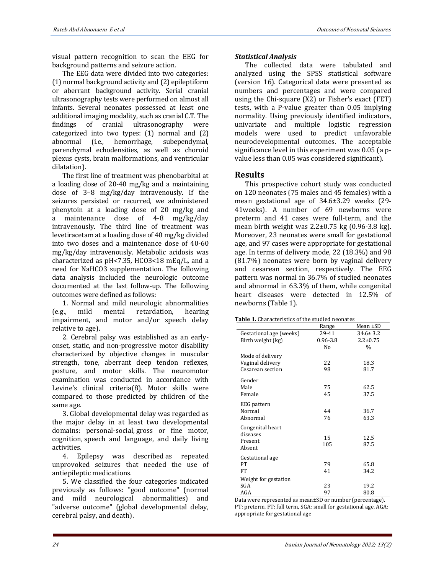visual pattern recognition to scan the EEG for background patterns and seizure action.

The EEG data were divided into two categories: (1) normal background activity and (2) epileptiform or aberrant background activity. Serial cranial ultrasonography tests were performed on almost all infants. Several neonates possessed at least one additional imaging modality, such as cranial C.T. The findings of cranial ultrasonography were categorized into two types: (1) normal and (2) abnormal (i.e., hemorrhage, subependymal, parenchymal echodensities, as well as choroid plexus cysts, brain malformations, and ventricular dilatation).

The first line of treatment was phenobarbital at a loading dose of 20-40 mg/kg and a maintaining dose of 3–8 mg/kg/day intravenously. If the seizures persisted or recurred, we administered phenytoin at a loading dose of 20 mg/kg and a maintenance dose of 4-8 mg/kg/day intravenously. The third line of treatment was levetiracetam at a loading dose of 40 mg/kg divided into two doses and a maintenance dose of 40-60 mg/kg/day intravenously. Metabolic acidosis was characterized as pH<7.35, HCO3<18 mEq/L, and a need for NaHCO3 supplementation. The following data analysis included the neurologic outcome documented at the last follow-up. The following outcomes were defined as follows:

1. Normal and mild neurologic abnormalities (e.g., mild mental retardation, hearing impairment, and motor and/or speech delay relative to age).

2. Cerebral palsy was established as an earlyonset, static, and non-progressive motor disability characterized by objective changes in muscular strength, tone, aberrant deep tendon reflexes, posture, and motor skills. The neuromotor examination was conducted in accordance with Levine's clinical criteria(8). Motor skills were compared to those predicted by children of the same age.

3. Global developmental delay was regarded as the major delay in at least two developmental domains: personal-social, gross or fine motor, cognition, speech and language, and daily living activities.

4. Epilepsy was described as repeated unprovoked seizures that needed the use of antiepileptic medications.

5. We classified the four categories indicated previously as follows: "good outcome" (normal and mild neurological abnormalities) and "adverse outcome" (global developmental delay, cerebral palsy, and death).

#### *Statistical Analysis*

The collected data were tabulated and analyzed using the SPSS statistical software (version 16). Categorical data were presented as numbers and percentages and were compared using the Chi-square (X2) or Fisher's exact (FET) tests, with a P-value greater than 0.05 implying normality. Using previously identified indicators, univariate and multiple logistic regression models were used to predict unfavorable neurodevelopmental outcomes. The acceptable significance level in this experiment was 0.05 (a pvalue less than 0.05 was considered significant).

#### **Results**

This prospective cohort study was conducted on 120 neonates (75 males and 45 females) with a mean gestational age of 34.6±3.29 weeks (29- 41weeks). A number of 69 newborns were preterm and 41 cases were full-term, and the mean birth weight was  $2.2\pm0.75$  kg  $(0.96-3.8$  kg). Moreover, 23 neonates were small for gestational age, and 97 cases were appropriate for gestational age. In terms of delivery mode, 22 (18.3%) and 98 (81.7%) neonates were born by vaginal delivery and cesarean section, respectively. The EEG pattern was normal in 36.7% of studied neonates and abnormal in 63.3% of them, while congenital heart diseases were detected in 12.5% of newborns (Table 1).

| <b>Table 1.</b> Characteristics of the studied neonates |  |
|---------------------------------------------------------|--|
|---------------------------------------------------------|--|

|                         | Range    | Mean ±SD       |
|-------------------------|----------|----------------|
| Gestational age (weeks) | 29-41    | $34.6 \pm 3.2$ |
| Birth weight (kg)       | 0.96-3.8 | $2.2 \pm 0.75$ |
|                         | No       | $\%$           |
| Mode of delivery        |          |                |
| Vaginal delivery        | 22       | 18.3           |
| Cesarean section        | 98       | 81.7           |
|                         |          |                |
| Gender                  |          |                |
| Male                    | 75       | 62.5           |
| Female                  | 45       | 37.5           |
| EEG pattern             |          |                |
| Normal                  | 44       | 36.7           |
| Abnormal                | 76       | 63.3           |
| Congenital heart        |          |                |
| diseases                |          |                |
| Present                 | 15       | 12.5           |
| Absent                  | 105      | 87.5           |
|                         |          |                |
| Gestational age         |          |                |
| PТ                      | 79       | 65.8           |
| <b>FT</b>               | 41       | 34.2           |
| Weight for gestation    |          |                |
| SGA                     | 23       | 19.2           |
| AGA                     | 97       | 80.8           |

Data were represented as mean±SD or number (percentage). PT: preterm, FT: full term, SGA: small for gestational age, AGA: appropriate for gestational age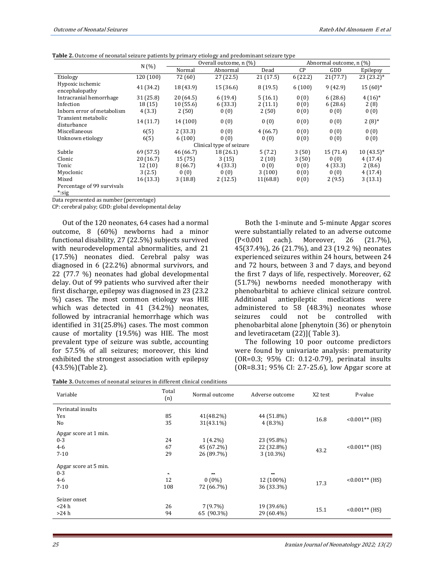**Table 2.** Outcome of neonatal seizure patients by primary etiology and predominant seizure type

|                                    |           |           | Overall outcome, n (%)   |          |           | Abnormal outcome, n (%) |                         |
|------------------------------------|-----------|-----------|--------------------------|----------|-----------|-------------------------|-------------------------|
|                                    | N(%       | Normal    | Abnormal                 | Dead     | <b>CP</b> | GDD                     | Epilepsy                |
| Etiology                           | 120 (100) | 72 (60)   | 27(22.5)                 | 21(17.5) | 6(22.2)   | 21(77.7)                | $23(23.2)^*$            |
| Hypoxic ischemic<br>encephalopathy | 41 (34.2) | 18 (43.9) | 15(36.6)                 | 8(19.5)  | 6(100)    | 9(42.9)                 | $15(60)*$               |
| Intracranial hemorrhage            | 31(25.8)  | 20(64.5)  | 6(19.4)                  | 5(16.1)  | 0(0)      | 6(28.6)                 | $4(16)*$                |
| Infection                          | 18(15)    | 10(55.6)  | 6(33.3)                  | 2(11.1)  | 0(0)      | 6(28.6)                 | 2(8)                    |
| Inborn error of metabolism         | 4(3.3)    | 2(50)     | 0(0)                     | 2(50)    | 0(0)      | 0(0)                    | 0(0)                    |
| Transient metabolic<br>disturbance | 14 (11.7) | 14 (100)  | 0(0)                     | 0(0)     | 0(0)      | 0(0)                    | $2(8)$ <sup>*</sup>     |
| Miscellaneous                      | 6(5)      | 2(33.3)   | 0(0)                     | 4(66.7)  | 0(0)      | 0(0)                    | 0(0)                    |
| Unknown etiology                   | 6(5)      | 6(100)    | 0(0)                     | 0(0)     | 0(0)      | 0(0)                    | 0(0)                    |
|                                    |           |           | Clinical type of seizure |          |           |                         |                         |
| Subtle                             | 69 (57.5) | 46 (66.7) | 18 (26.1)                | 5(7.2)   | 3(50)     | 15(71.4)                | $10(43.5)$ <sup>*</sup> |
| Clonic                             | 20(16.7)  | 15(75)    | 3(15)                    | 2(10)    | 3(50)     | 0(0)                    | 4(17.4)                 |
| Tonic                              | 12(10)    | 8 (66.7)  | 4(33.3)                  | 0(0)     | 0(0)      | 4(33.3)                 | 2(8.6)                  |
| Myoclonic                          | 3(2.5)    | 0(0)      | 0(0)                     | 3(100)   | 0(0)      | 0(0)                    | 4(17.4)                 |
| Mixed                              | 16(13.3)  | 3(18.8)   | 2(12.5)                  | 11(68.8) | 0(0)      | 2(9.5)                  | 3(13.1)                 |
| Percentage of 99 survivals         |           |           |                          |          |           |                         |                         |
| *:sig                              |           |           |                          |          |           |                         |                         |

Data represented as number (percentage)

CP: cerebral palsy; GDD: global developmental delay

Out of the 120 neonates, 64 cases had a normal outcome, 8 (60%) newborns had a minor functional disability, 27 (22.5%) subjects survived with neurodevelopmental abnormalities, and 21 (17.5%) neonates died. Cerebral palsy was diagnosed in 6 (22.2%) abnormal survivors, and 22 (77.7 %) neonates had global developmental delay. Out of 99 patients who survived after their first discharge, epilepsy was diagnosed in 23 (23.2 %) cases. The most common etiology was HIE which was detected in 41 (34.2%) neonates, followed by intracranial hemorrhage which was identified in 31(25.8%) cases. The most common cause of mortality (19.5%) was HIE. The most prevalent type of seizure was subtle, accounting for 57.5% of all seizures; moreover, this kind exhibited the strongest association with epilepsy (43.5%)(Table 2).

| <b>Table 3.</b> Outcomes of neonatal seizures in different clinical conditions |  |
|--------------------------------------------------------------------------------|--|
|--------------------------------------------------------------------------------|--|

Both the 1-minute and 5-minute Apgar scores were substantially related to an adverse outcome (P<0.001 each). Moreover, 26 (21.7%), 45(37.4%), 26 (21.7%), and 23 (19.2 %) neonates experienced seizures within 24 hours, between 24 and 72 hours, between 3 and 7 days, and beyond the first 7 days of life, respectively. Moreover, 62 (51.7%) newborns needed monotherapy with phenobarbital to achieve clinical seizure control. Additional antiepileptic medications were administered to 58 (48.3%) neonates whose seizures could not be controlled with phenobarbital alone [phenytoin (36) or phenytoin and levetiracetam (22)]( Table 3).

The following 10 poor outcome predictors were found by univariate analysis: prematurity (OR=0.3; 95% CI: 0.12-0.79), perinatal insults (OR=8.31; 95% CI: 2.7-25.6), low Apgar score at

| Variable              | Total<br>(n) | Normal outcome | Adverse outcome | X2 test | P-value          |
|-----------------------|--------------|----------------|-----------------|---------|------------------|
| Perinatal insults     |              |                |                 |         |                  |
| Yes                   | 85           | 41(48.2%)      | 44 (51.8%)      | 16.8    | $< 0.001**$ (HS) |
| No                    | 35           | 31(43.1%)      | $4(8.3\%)$      |         |                  |
| Apgar score at 1 min. |              |                |                 |         |                  |
| $0 - 3$               | 24           | $1(4.2\%)$     | 23 (95.8%)      |         |                  |
| $4 - 6$               | 67           | 45 (67.2%)     | 22 (32.8%)      |         | $< 0.001**$ (HS) |
| $7 - 10$              | 29           | 26 (89.7%)     | $3(10.3\%)$     | 43.2    |                  |
| Apgar score at 5 min. |              |                |                 |         |                  |
| $0 - 3$               |              |                |                 |         |                  |
| $4 - 6$               | 12           | $0(0\%)$       | 12 (100%)       |         | $< 0.001**$ (HS) |
| $7 - 10$              | 108          | 72 (66.7%)     | 36 (33.3%)      | 17.3    |                  |
| Seizer onset          |              |                |                 |         |                  |
| $<$ 24 $h$            | 26           | $7(9.7\%)$     | 19 (39.6%)      |         |                  |
| >24 h                 | 94           | 65 (90.3%)     | 29 (60.4%)      | 15.1    | $< 0.001**$ (HS) |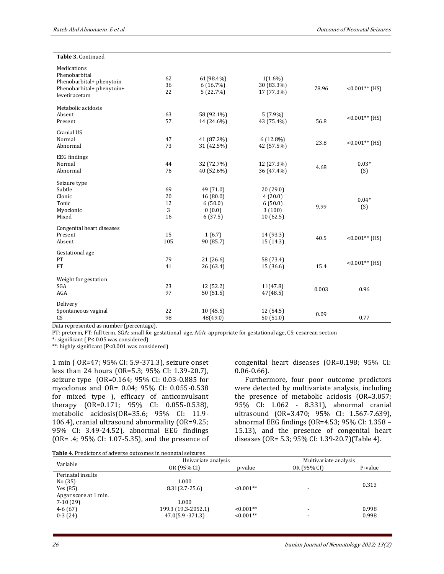| Table 3. Continued                                                                                     |                           |                                                       |                                                      |       |                  |
|--------------------------------------------------------------------------------------------------------|---------------------------|-------------------------------------------------------|------------------------------------------------------|-------|------------------|
| Medications<br>Phenobarbital<br>Phenobarbital+ phenytoin<br>Phenobarbital+ phenytoin+<br>levetiracetam | 62<br>36<br>22            | 61(98.4%)<br>6(16.7%)<br>5(22.7%)                     | $1(1.6\%)$<br>30 (83.3%)<br>17 (77.3%)               | 78.96 | $< 0.001**$ (HS) |
| Metabolic acidosis<br>Absent<br>Present                                                                | 63<br>57                  | 58 (92.1%)<br>14 (24.6%)                              | $5(7.9\%)$<br>43 (75.4%)                             | 56.8  | $< 0.001**$ (HS) |
| Cranial US<br>Normal<br>Abnormal                                                                       | 47<br>73                  | 41 (87.2%)<br>31 (42.5%)                              | $6(12.8\%)$<br>42 (57.5%)                            | 23.8  | $< 0.001**$ (HS) |
| <b>EEG</b> findings<br>Normal<br>Abnormal                                                              | 44<br>76                  | 32 (72.7%)<br>40 (52.6%)                              | 12 (27.3%)<br>36 (47.4%)                             | 4.68  | $0.03*$<br>(S)   |
| Seizure type<br>Subtle<br>Clonic<br>Tonic<br>Myoclonic<br>Mixed                                        | 69<br>20<br>12<br>3<br>16 | 49 (71.0)<br>16(80.0)<br>6(50.0)<br>0(0.0)<br>6(37.5) | 20(29.0)<br>4(20.0)<br>6(50.0)<br>3(100)<br>10(62.5) | 9.99  | $0.04*$<br>(S)   |
| Congenital heart diseases<br>Present<br>Absent                                                         | 15<br>105                 | 1(6.7)<br>90 (85.7)                                   | 14 (93.3)<br>15 (14.3)                               | 40.5  | $< 0.001**$ (HS) |
| Gestational age<br>PT<br><b>FT</b>                                                                     | 79<br>41                  | 21 (26.6)<br>26 (63.4)                                | 58 (73.4)<br>15(36.6)                                | 15.4  | $< 0.001**$ (HS) |
| Weight for gestation<br>SGA<br>AGA                                                                     | 23<br>97                  | 12 (52.2)<br>50(51.5)                                 | 11(47.8)<br>47(48.5)                                 | 0.003 | 0.96             |
| Delivery<br>Spontaneous vaginal<br>CS                                                                  | 22<br>98                  | 10(45.5)<br>48(49.0)                                  | 12 (54.5)<br>50(51.0)                                | 0.09  | 0.77             |

Data represented as number (percentage).

PT: preterm, FT: full term, SGA: small for gestational age, AGA: appropriate for gestational age, CS: cesarean section

\*: significant ( P≤ 0.05 was considered)

\*\*: highly significant (P<0.001 was considered)

1 min ( OR=47; 95% CI: 5.9-371.3), seizure onset less than 24 hours (OR=5.3; 95% CI: 1.39-20.7), seizure type (OR=0.164; 95% CI: 0.03-0.885 for myoclonus and OR= 0.04; 95% CI: 0.055-0.538 for mixed type ), efficacy of anticonvulsant therapy (OR=0.171; 95% CI: 0.055-0.538), metabolic acidosis(OR=35.6; 95% CI: 11.9- 106.4), cranial ultrasound abnormality (OR=9.25; 95% CI: 3.49-24.52), abnormal EEG findings (OR= .4; 95% CI: 1.07-5.35), and the presence of

congenital heart diseases (OR=0.198; 95% CI: 0.06-0.66).

Furthermore, four poor outcome predictors were detected by multivariate analysis, including the presence of metabolic acidosis (OR=3.057; 95% CI: 1.062 - 8.331), abnormal cranial ultrasound (OR=3.470; 95% CI: 1.567-7.639), abnormal EEG findings (OR=4.53; 95% CI: 1.358 – 15.13), and the presence of congenital heart diseases (OR= 5.3; 95% CI: 1.39-20.7)(Table 4).

|  |  | <b>Table 4.</b> Predictors of adverse outcomes in neonatal seizures |  |
|--|--|---------------------------------------------------------------------|--|

| Variable              | Univariate analysis |             | Multivariate analysis    |         |
|-----------------------|---------------------|-------------|--------------------------|---------|
|                       | OR (95% CI)         | p-value     | OR (95% CI)              | P-value |
| Perinatal insults     |                     |             |                          |         |
| No(35)                | 1.000               |             |                          | 0.313   |
| Yes (85)              | $8.31(2.7-25.6)$    | $< 0.001**$ | $\overline{\phantom{a}}$ |         |
| Apgar score at 1 min. |                     |             |                          |         |
| $7-10(29)$            | 1.000               |             |                          |         |
| $4-6(67)$             | 199.3 (19.3-2052.1) | $< 0.001**$ | $\overline{\phantom{a}}$ | 0.998   |
| $0-3(24)$             | $47.0(5.9 - 371.3)$ | $< 0.001**$ | $\overline{\phantom{a}}$ | 0.998   |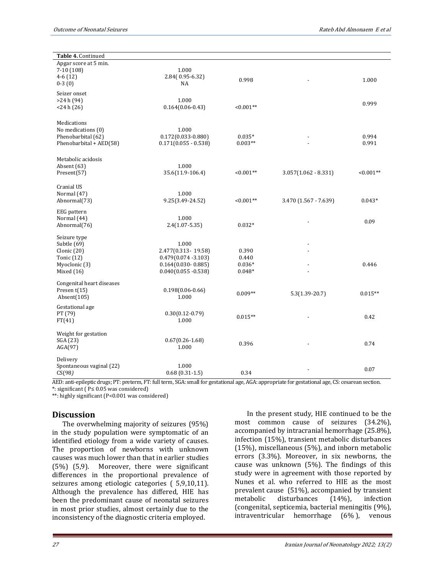| Table 4. Continued          |                        |             |                        |             |
|-----------------------------|------------------------|-------------|------------------------|-------------|
| Apgar score at 5 min.       |                        |             |                        |             |
| $7-10(108)$                 | 1.000                  |             |                        |             |
| $4-6(12)$                   | 2.84(0.95-6.32)        | 0.998       |                        | 1.000       |
| $0-3(0)$                    | NA                     |             |                        |             |
| Seizer onset                |                        |             |                        |             |
| >24h(94)                    | 1.000                  |             |                        | 0.999       |
| $<$ 24 h $(26)$             | $0.164(0.06-0.43)$     | $< 0.001**$ |                        |             |
| Medications                 |                        |             |                        |             |
| No medications (0)          | 1.000                  |             |                        |             |
| Phenobarbital (62)          | $0.172(0.033 - 0.880)$ | $0.035*$    |                        | 0.994       |
| Phenobarbital + AED(58)     | $0.171(0.055 - 0.538)$ | $0.003**$   |                        | 0.991       |
|                             |                        |             |                        |             |
| Metabolic acidosis          |                        |             |                        |             |
| Absent (63)                 | 1.000                  |             |                        |             |
| Present(57)                 | 35.6(11.9-106.4)       | $< 0.001**$ | $3.057(1.062 - 8.331)$ | $< 0.001**$ |
| Cranial US                  |                        |             |                        |             |
| Normal (47)                 | 1.000                  |             |                        |             |
| Abnormal(73)                | $9.25(3.49 - 24.52)$   | $< 0.001**$ | 3.470 (1.567 - 7.639)  | $0.043*$    |
| EEG pattern                 |                        |             |                        |             |
| Normal (44)                 | 1.000                  |             |                        |             |
| Abnormal(76)                | $2.4(1.07 - 5.35)$     | $0.032*$    |                        | 0.09        |
|                             |                        |             |                        |             |
| Seizure type<br>Subtle (69) | 1.000                  |             |                        |             |
| Clonic (20)                 | 2.477(0.313-19.58)     | 0.390       |                        |             |
| Tonic (12)                  | $0.479(0.074 - 3.103)$ | 0.440       |                        |             |
| Myoclonic (3)               | $0.164(0.030 - 0.885)$ | $0.036*$    |                        | 0.446       |
| Mixed $(16)$                | $0.040(0.055 - 0.538)$ | $0.048*$    |                        |             |
|                             |                        |             |                        |             |
| Congenital heart diseases   |                        |             |                        |             |
| Presen t(15)                | $0.198(0.06 - 0.66)$   | $0.009**$   | $5.3(1.39-20.7)$       | $0.015**$   |
| Absent $(105)$              | 1.000                  |             |                        |             |
| Gestational age             |                        |             |                        |             |
| PT (79)                     | $0.30(0.12 - 0.79)$    |             |                        |             |
| FT(41)                      | 1.000                  | $0.015**$   |                        | 0.42        |
| Weight for gestation        |                        |             |                        |             |
| SGA(23)                     | $0.67(0.26 - 1.68)$    |             |                        |             |
| AGA(97)                     | 1.000                  | 0.396       |                        | 0.74        |
|                             |                        |             |                        |             |
| Delivery                    | 1.000                  |             |                        |             |
| Spontaneous vaginal (22)    |                        | 0.34        |                        | 0.07        |
| CS(98)                      | $0.68(0.31-1.5)$       |             |                        |             |

AED: anti-epileptic drugs; PT: preterm, FT: full term, SGA: small for gestational age, AGA: appropriate for gestational age, CS: cesarean section. \*: significant ( P≤ 0.05 was considered)

\*\*: highly significant (P<0.001 was considered)

#### **Discussion**

The overwhelming majority of seizures (95%) in the study population were symptomatic of an identified etiology from a wide variety of causes. The proportion of newborns with unknown causes was much lower than that in earlier studies (5%) (5,9). Moreover, there were significant differences in the proportional prevalence of seizures among etiologic categories ( 5,9,10,11). Although the prevalence has differed, HIE has been the predominant cause of neonatal seizures in most prior studies, almost certainly due to the inconsistency of the diagnostic criteria employed.

In the present study, HIE continued to be the most common cause of seizures (34.2%), accompanied by intracranial hemorrhage (25.8%), infection (15%), transient metabolic disturbances (15%), miscellaneous (5%), and inborn metabolic errors (3.3%). Moreover, in six newborns, the cause was unknown (5%). The findings of this study were in agreement with those reported by Nunes et al. who referred to HIE as the most prevalent cause (51%), accompanied by transient metabolic disturbances (14%), infection (congenital, septicemia, bacterial meningitis (9%), intraventricular hemorrhage (6% ), venous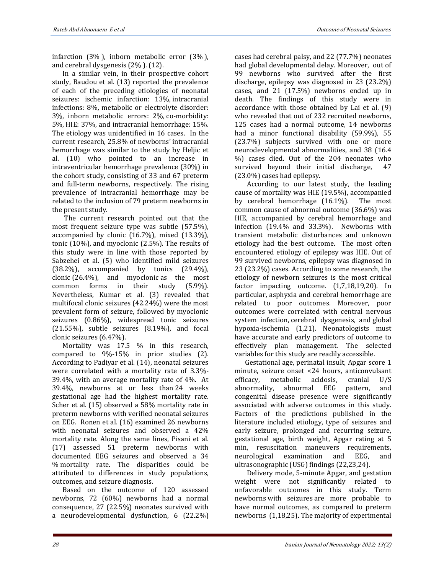infarction (3% ), inborn metabolic error (3% ), and cerebral dysgenesis (2% ). (12).

In a similar vein, in their prospective cohort study, Baudou et al. (13) reported the prevalence of each of the preceding etiologies of neonatal seizures: ischemic infarction: 13%, intracranial infections: 8%, metabolic or electrolyte disorder: 3%, inborn metabolic errors: 2%, co-morbidity: 5%, HIE: 37%, and intracranial hemorrhage: 15%. The etiology was unidentified in 16 cases. In the current research, 25.8% of newborns' intracranial hemorrhage was similar to the study by Heljic et al. (10) who pointed to an increase in intraventricular hemorrhage prevalence (30%) in the cohort study, consisting of 33 and 67 preterm and full-term newborns, respectively. The rising prevalence of intracranial hemorrhage may be related to the inclusion of 79 preterm newborns in the present study.

The current research pointed out that the most frequent seizure type was subtle (57.5%), accompanied by clonic (16.7%), mixed (13.3%), tonic (10%), and myoclonic (2.5%). The results of this study were in line with those reported by Sabzehei et al. (5) who identified mild seizures  $(38.2\%)$ , accompanied by tonics  $(29.4\%)$ , clonic (26.4%), and myoclonic as the most common forms in their study (5.9%). Nevertheless, Kumar et al. (3) revealed that multifocal clonic seizures (42.24%) were the most prevalent form of seizure, followed by myoclonic seizures (0.86%), widespread tonic seizures  $(21.55%)$ , subtle seizures  $(8.19%)$ , and focal clonic seizures (6.47%).

Mortality was 17.5 % in this research, compared to 9%-15% in prior studies (2). According to Padiyar et al. (14), neonatal seizures were correlated with a mortality rate of 3.3%- 39.4%, with an average mortality rate of 4%. At 39.4%, newborns at or less than 24 weeks gestational age had the highest mortality rate. Scher et al. (15) observed a 58% mortality rate in preterm newborns with verified neonatal seizures on EEG. Ronen et al. (16) examined 26 newborns with neonatal seizures and observed a 42% mortality rate. Along the same lines, Pisani et al. (17) assessed 51 preterm newborns with documented EEG seizures and observed a 34 % mortality rate. The disparities could be attributed to differences in study populations, outcomes, and seizure diagnosis.

Based on the outcome of 120 assessed newborns, 72 (60%) newborns had a normal consequence, 27 (22.5%) neonates survived with a neurodevelopmental dysfunction, 6 (22.2%) cases had cerebral palsy, and 22 (77.7%) neonates had global developmental delay. Moreover, out of 99 newborns who survived after the first discharge, epilepsy was diagnosed in 23 (23.2%) cases, and 21 (17.5%) newborns ended up in death. The findings of this study were in accordance with those obtained by Lai et al. (9) who revealed that out of 232 recruited newborns, 125 cases had a normal outcome, 14 newborns had a minor functional disability (59.9%), 55 (23.7%) subjects survived with one or more neurodevelopmental abnormalities, and 38 (16.4 %) cases died. Out of the 204 neonates who survived beyond their initial discharge, 47 (23.0%) cases had epilepsy.

According to our latest study, the leading cause of mortality was HIE (19.5%), accompanied by cerebral hemorrhage (16.1%). The most common cause of abnormal outcome (36.6%) was HIE, accompanied by cerebral hemorrhage and infection (19.4% and 33.3%). Newborns with transient metabolic disturbances and unknown etiology had the best outcome. The most often encountered etiology of epilepsy was HIE. Out of 99 survived newborns, epilepsy was diagnosed in 23 (23.2%) cases. According to some research, the etiology of newborn seizures is the most critical factor impacting outcome. (1,7,18,19,20). In particular, asphyxia and cerebral hemorrhage are related to poor outcomes. Moreover, poor outcomes were correlated with central nervous system infection, cerebral dysgenesis, and global hypoxia-ischemia (1,21). Neonatologists must have accurate and early predictors of outcome to effectively plan management. The selected variables for this study are readily accessible.

Gestational age, perinatal insult, Apgar score 1 minute, seizure onset <24 hours, anticonvulsant efficacy, metabolic acidosis, cranial U/S abnormality, abnormal EEG pattern, and congenital disease presence were significantly associated with adverse outcomes in this study. Factors of the predictions published in the literature included etiology, type of seizures and early seizure, prolonged and recurring seizure, gestational age, birth weight, Apgar rating at 5 min, resuscitation maneuvers requirements, neurological examination and EEG, and ultrasonographic (USG) findings (22,23,24).

Delivery mode, 5-minute Apgar, and gestation weight were not significantly related to unfavorable outcomes in this study. Term newborns with seizures are more probable to have normal outcomes, as compared to preterm newborns (1,18,25). The majority of experimental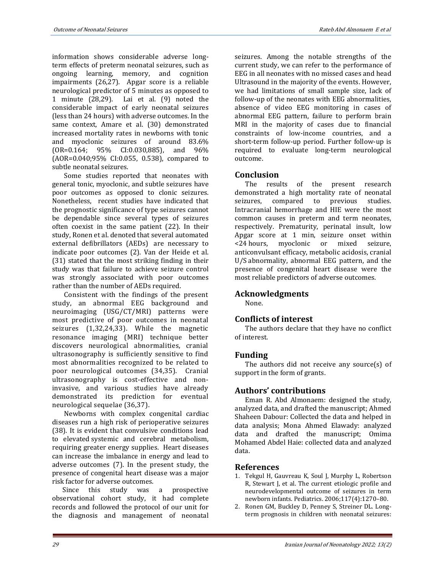information shows considerable adverse longterm effects of preterm neonatal seizures, such as ongoing learning, memory, and cognition impairments (26,27). Apgar score is a reliable neurological predictor of 5 minutes as opposed to 1 minute (28,29). Lai et al. (9) noted the considerable impact of early neonatal seizures (less than 24 hours) with adverse outcomes. In the same context, Amare et al. (30) demonstrated increased mortality rates in newborns with tonic and myoclonic seizures of around 83.6% (OR=0.164; 95% CI:0.030,885), and 96% (AOR=0.040;95% CI:0.055, 0.538), compared to subtle neonatal seizures.

Some studies reported that neonates with general tonic, myoclonic, and subtle seizures have poor outcomes as opposed to clonic seizures. Nonetheless, recent studies have indicated that the prognostic significance of type seizures cannot be dependable since several types of seizures often coexist in the same patient (22). In their study, Ronen et al. denoted that several automated external defibrillators (AEDs) are necessary to indicate poor outcomes (2). Van der Heide et al. (31) stated that the most striking finding in their study was that failure to achieve seizure control was strongly associated with poor outcomes rather than the number of AEDs required.

Consistent with the findings of the present study, an abnormal EEG background and neuroimaging (USG/CT/MRI) patterns were most predictive of poor outcomes in neonatal seizures (1,32,24,33). While the magnetic resonance imaging (MRI) technique better discovers neurological abnormalities, cranial ultrasonography is sufficiently sensitive to find most abnormalities recognized to be related to poor neurological outcomes (34,35). Cranial ultrasonography is cost-effective and noninvasive, and various studies have already demonstrated its prediction for eventual neurological sequelae (36,37).

Newborns with complex congenital cardiac diseases run a high risk of perioperative seizures (38). It is evident that convulsive conditions lead to elevated systemic and cerebral metabolism, requiring greater energy supplies. Heart diseases can increase the imbalance in energy and lead to adverse outcomes (7). In the present study, the presence of congenital heart disease was a major risk factor for adverse outcomes.

Since this study was a prospective observational cohort study, it had complete records and followed the protocol of our unit for the diagnosis and management of neonatal seizures. Among the notable strengths of the current study, we can refer to the performance of EEG in all neonates with no missed cases and head Ultrasound in the majority of the events. However, we had limitations of small sample size, lack of follow-up of the neonates with EEG abnormalities, absence of video EEG monitoring in cases of abnormal EEG pattern, failure to perform brain MRI in the majority of cases due to financial constraints of low-income countries, and a short-term follow-up period. Further follow-up is required to evaluate long‑term neurological outcome.

# **Conclusion**

The results of the present research demonstrated a high mortality rate of neonatal seizures, compared to previous studies. Intracranial hemorrhage and HIE were the most common causes in preterm and term neonates, respectively. Prematurity, perinatal insult, low Apgar score at 1 min, seizure onset within <24 hours, myoclonic or mixed seizure, anticonvulsant efficacy, metabolic acidosis, cranial U/S abnormality, abnormal EEG pattern, and the presence of congenital heart disease were the most reliable predictors of adverse outcomes.

#### **Acknowledgments**

None.

# **Conflicts of interest**

The authors declare that they have no conflict of interest.

# **Funding**

The authors did not receive any source(s) of support in the form of grants.

# **Authors' contributions**

Eman R. Abd Almonaem: designed the study, analyzed data, and drafted the manuscript; Ahmed Shaheen Dabour: Collected the data and helped in data analysis; Mona Ahmed Elawady: analyzed data and drafted the manuscript; Omima Mohamed Abdel Haie: collected data and analyzed data.

#### **References**

- 1. Tekgul H, Gauvreau K, Soul J, Murphy L, Robertson R, Stewart J, et al. The current etiologic profile and neurodevelopmental outcome of seizures in term newborn infants. Pediatrics. 2006;117(4):1270–80.
- 2. Ronen GM, Buckley D, Penney S, Streiner DL. Longterm prognosis in children with neonatal seizures: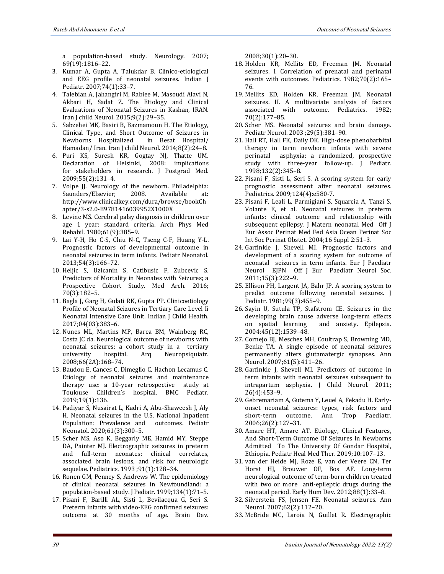a population-based study. Neurology. 2007; 69(19):1816–22.

- 3. Kumar A, Gupta A, Talukdar B. Clinico-etiological and EEG profile of neonatal seizures. Indian J Pediatr. 2007;74(1):33–7.
- 4. Talebian A, Jahangiri M, Rabiee M, Masoudi Alavi N, Akbari H, Sadat Z. The Etiology and Clinical Evaluations of Neonatal Seizures in Kashan, IRAN. Iran J child Neurol. 2015;9(2):29–35.
- 5. Sabzehei MK, Basiri B, Bazmamoun H. The Etiology, Clinical Type, and Short Outcome of Seizures in Newborns Hospitalized in Besat Hospital/ Hamadan/ Iran. Iran J child Neurol. 2014;8(2):24–8.
- 6. Puri KS, Suresh KR, Gogtay NJ, Thatte UM. Declaration of Helsinki, 2008: implications for stakeholders in research. J Postgrad Med. 2009;55(2):131–4.
- 7. Volpe JJ. Neurology of the newborn. Philadelphia: Saunders/Elsevier; 2008. Available at: [http://www.clinicalkey.com/dura/browse/bookCh](http://www.clinicalkey.com/dura/browse/bookChapter/3-s2.0-B9781416039952X1000X) [apter/3-s2.0-B9781416039952X1000X](http://www.clinicalkey.com/dura/browse/bookChapter/3-s2.0-B9781416039952X1000X)
- 8. Levine MS. Cerebral palsy diagnosis in children over age 1 year: standard criteria. Arch Phys Med Rehabil. 1980;61(9):385–9.
- 9. Lai Y-H, Ho C-S, Chiu N-C, Tseng C-F, Huang Y-L. Prognostic factors of developmental outcome in neonatal seizures in term infants. Pediatr Neonatol. 2013;54(3):166–72.
- 10. Heljic S, Uzicanin S, Catibusic F, Zubcevic S. Predictors of Mortality in Neonates with Seizures; a Prospective Cohort Study. Med Arch. 2016; 70(3):182–5.
- 11. Bagla J, Garg H, Gulati RK, Gupta PP. Clinicoetiology Profile of Neonatal Seizures in Tertiary Care Level Ii Neonatal Intensive Care Unit. Indian J Child Health. 2017;04(03):383–6.
- 12. Nunes ML, Martins MP, Barea BM, Wainberg RC, Costa JC da. Neurological outcome of newborns with neonatal seizures: a cohort study in a tertiary university hospital. Arq Neuropsiquiatr. 2008;66(2A):168–74.
- 13. Baudou E, Cances C, Dimeglio C, Hachon Lecamus C. Etiology of neonatal seizures and maintenance therapy use: a 10-year retrospective study at Toulouse Children's hospital. BMC Pediatr. 2019;19(1):136.
- 14. Padiyar S, Nusairat L, Kadri A, Abu-Shaweesh J, Aly H. Neonatal seizures in the U.S. National Inpatient Population: Prevalence and outcomes. Pediatr Neonatol. 2020;61(3):300–5.
- 15. Scher MS, Aso K, Beggarly ME, Hamid MY, Steppe DA, Painter MJ. Electrographic seizures in preterm and full-term neonates: clinical correlates, associated brain lesions, and risk for neurologic sequelae. Pediatrics. 1993 ;91(1):128–34.
- 16. Ronen GM, Penney S, Andrews W. The epidemiology of clinical neonatal seizures in Newfoundland: a population-based study. J Pediatr. 1999;134(1):71–5.
- 17. Pisani F, Barilli AL, Sisti L, Bevilacqua G, Seri S. Preterm infants with video-EEG confirmed seizures: outcome at 30 months of age. Brain Dev.

2008;30(1):20–30.

- 18. Holden KR, Mellits ED, Freeman JM. Neonatal seizures. I. Correlation of prenatal and perinatal events with outcomes. Pediatrics. 1982;70(2):165– 76.
- 19. Mellits ED, Holden KR, Freeman JM. Neonatal seizures. II. A multivariate analysis of factors associated with outcome. Pediatrics. 1982; 70(2):177–85.
- 20. Scher MS. Neonatal seizures and brain damage. Pediatr Neurol. 2003 ;29(5):381–90.
- 21. Hall RT, Hall FK, Daily DK. High-dose phenobarbital therapy in term newborn infants with severe perinatal asphyxia: a randomized, prospective study with three-year follow-up. J Pediatr. 1998;132(2):345–8.
- 22. Pisani F, Sisti L, Seri S. A scoring system for early prognostic assessment after neonatal seizures. Pediatrics. 2009;124(4):e580-7.
- 23. Pisani F, Leali L, Parmigiani S, Squarcia A, Tanzi S, Volante E, et al. Neonatal seizures in preterm infants: clinical outcome and relationship with subsequent epilepsy. J Matern neonatal Med Off J Eur Assoc Perinat Med Fed Asia Ocean Perinat Soc Int Soc Perinat Obstet. 2004;16 Suppl 2:51–3.
- 24. Garfinkle J, Shevell MI. Prognostic factors and development of a scoring system for outcome of neonatal seizures in term infants. Eur J Paediatr Neurol EJPN Off J Eur Paediatr Neurol Soc. 2011;15(3):222–9.
- 25. Ellison PH, Largent JA, Bahr JP. A scoring system to predict outcome following neonatal seizures. J Pediatr. 1981;99(3):455–9.
- 26. Sayin U, Sutula TP, Stafstrom CE. Seizures in the developing brain cause adverse long-term effects on spatial learning and anxiety. Epilepsia. 2004;45(12):1539–48.
- 27. Cornejo BJ, Mesches MH, Coultrap S, Browning MD, Benke TA. A single episode of neonatal seizures permanently alters glutamatergic synapses. Ann Neurol. 2007;61(5):411–26.
- 28. Garfinkle J, Shevell MI. Predictors of outcome in term infants with neonatal seizures subsequent to intrapartum asphyxia. J Child Neurol. 2011; 26(4):453–9.
- 29. Gebremariam A, Gutema Y, Leuel A, Fekadu H. Earlyonset neonatal seizures: types, risk factors and short-term outcome. Ann Trop Paediatr. 2006;26(2):127–31.
- 30. Amare HT, Amare AT. Etiology, Clinical Features, And Short-Term Outcome Of Seizures In Newborns Admitted To The University Of Gondar Hospital, Ethiopia. Pediatr Heal Med Ther. 2019;10:107–13.
- 31. van der Heide MJ, Roze E, van der Veere CN, Ter Horst HJ, Brouwer OF, Bos AF. Long-term neurological outcome of term-born children treated with two or more anti-epileptic drugs during the neonatal period. Early Hum Dev. 2012;88(1):33–8.
- 32. Silverstein FS, Jensen FE. Neonatal seizures. Ann Neurol. 2007;62(2):112–20.
- 33. McBride MC, Laroia N, Guillet R. Electrographic